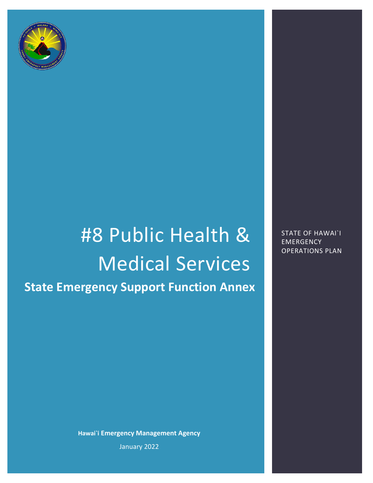

# #8 Public Health & Medical Services **State Emergency Support Function Annex**

STATE OF HAWAI`I **EMERGENCY** OPERATIONS PLAN

**Hawai`i Emergency Management Agency** January 2022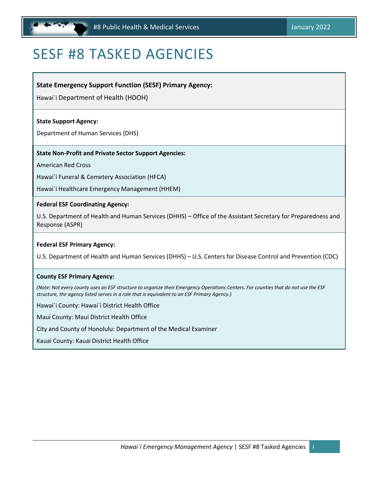## <span id="page-1-0"></span>SESF #8 TASKED AGENCIES

#### **State Emergency Support Function (SESF) Primary Agency:**

Hawai`i Department of Health (HDOH)

#### **State Support Agency:**

Department of Human Services (DHS)

#### **State Non‐Profit and Private Sector Support Agencies:**

American Red Cross

Hawai`i Funeral & Cemetery Association (HFCA)

Hawai`i Healthcare Emergency Management (HHEM)

#### **Federal ESF Coordinating Agency:**

U.S. Department of Health and Human Services (DHHS) – Office of the Assistant Secretary for Preparedness and Response (ASPR)

#### **Federal ESF Primary Agency:**

U.S. Department of Health and Human Services (DHHS) – U.S. Centers for Disease Control and Prevention (CDC)

#### **County ESF Primary Agency:**

(Note: Not every county uses an ESF structure to organize their Emergency Operations Centers. For counties that do not use the ESF *structure, the agency listed serves in a role that is equivalent to an ESF Primary Agency.)*

Hawai`i County: Hawai`i District Health Office

Maui County: Maui District Health Office

City and County of Honolulu: Department of the Medical Examiner

Kauai County: Kauai District Health Office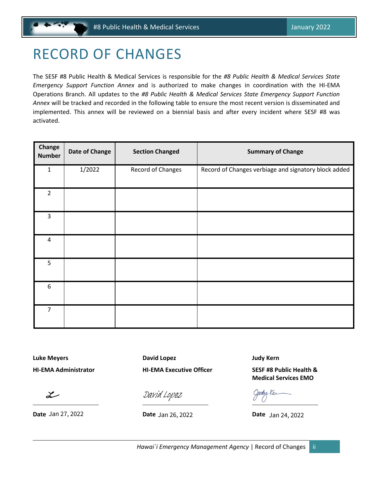## <span id="page-2-0"></span>RECORD OF CHANGES

The SESF #8 Public Health & Medical Services is responsible for the *#8 Public Health & Medical Services State Emergency Support Function Annex* and is authorized to make changes in coordination with the HI-EMA Operations Branch. All updates to the *#8 Public Health & Medical Services State Emergency Support Function Annex* will be tracked and recorded in the following table to ensure the most recent version is disseminated and implemented. This annex will be reviewed on a biennial basis and after every incident where SESF #8 was activated.

| Change<br><b>Number</b> | <b>Date of Change</b> | <b>Section Changed</b> | <b>Summary of Change</b>                             |
|-------------------------|-----------------------|------------------------|------------------------------------------------------|
| $\mathbf{1}$            | 1/2022                | Record of Changes      | Record of Changes verbiage and signatory block added |
| $\overline{2}$          |                       |                        |                                                      |
| $\overline{3}$          |                       |                        |                                                      |
| 4                       |                       |                        |                                                      |
| 5                       |                       |                        |                                                      |
| 6                       |                       |                        |                                                      |
| $\overline{7}$          |                       |                        |                                                      |

**Luke Meyers David Lopez Judy Kern**

 $\boldsymbol{\mathcal{Z}}$ 

**HI-EMA Administrator HI-EMA Executive Officer SESF #8 Public Health &** 

**Date** Jan 27, 2022 **Date** Jan 26, 2022 **Date** 

**Medical Services EMO**

 $\frac{\partial u}{\partial x}$ <br>[David Lopez](https://stateofhawaii.na1.adobesign.com/verifier?tx=CBJCHBCAABAA9kN3e6jybR2RWH28_Tx2s67PauAbvctr)<br>Date Jan 26, 2022 Date Jan 24, 2022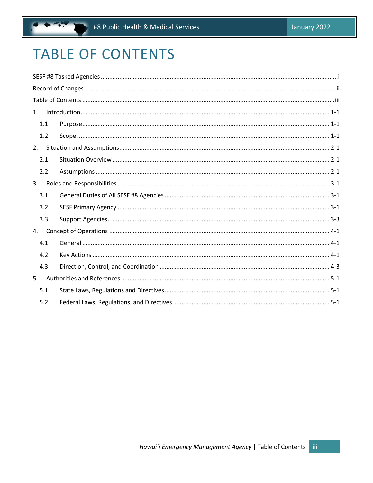## <span id="page-3-0"></span>**TABLE OF CONTENTS**

| 1. |     |  |
|----|-----|--|
|    | 1.1 |  |
|    | 1.2 |  |
|    | 2.  |  |
|    | 2.1 |  |
|    | 2.2 |  |
| 3. |     |  |
|    | 3.1 |  |
|    | 3.2 |  |
|    | 3.3 |  |
| 4. |     |  |
|    | 4.1 |  |
|    | 4.2 |  |
|    | 4.3 |  |
| 5. |     |  |
|    | 5.1 |  |
|    | 5.2 |  |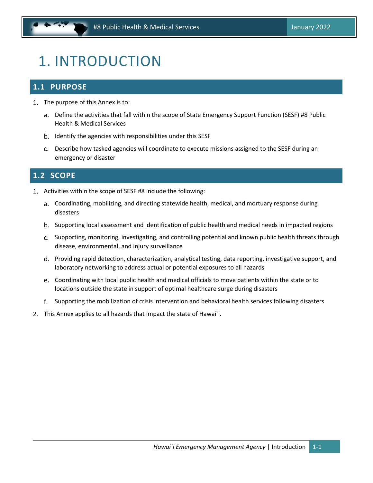## <span id="page-4-0"></span>1. INTRODUCTION

## <span id="page-4-1"></span>**1.1 PURPOSE**

- 1. The purpose of this Annex is to:
	- a. Define the activities that fall within the scope of State Emergency Support Function (SESF) #8 Public Health & Medical Services
	- b. Identify the agencies with responsibilities under this SESF
	- Describe how tasked agencies will coordinate to execute missions assigned to the SESF during an emergency or disaster

## <span id="page-4-2"></span>**1.2 SCOPE**

- Activities within the scope of SESF #8 include the following:
	- Coordinating, mobilizing, and directing statewide health, medical, and mortuary response during disasters
	- b. Supporting local assessment and identification of public health and medical needs in impacted regions
	- c. Supporting, monitoring, investigating, and controlling potential and known public health threats through disease, environmental, and injury surveillance
	- Providing rapid detection, characterization, analytical testing, data reporting, investigative support, and laboratory networking to address actual or potential exposures to all hazards
	- Coordinating with local public health and medical officials to move patients within the state or to locations outside the state in support of optimal healthcare surge during disasters
	- f. Supporting the mobilization of crisis intervention and behavioral health services following disasters
- 2. This Annex applies to all hazards that impact the state of Hawai'i.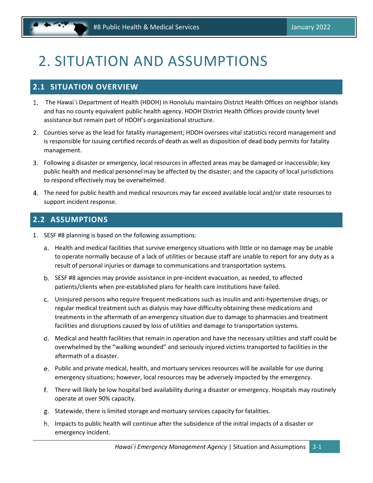## <span id="page-5-0"></span>2. SITUATION AND ASSUMPTIONS

### <span id="page-5-1"></span>**2.1 SITUATION OVERVIEW**

- The Hawai`i Department of Health (HDOH) in Honolulu maintains District Health Offices on neighbor islands and has no county equivalent public health agency. HDOH District Health Offices provide county level assistance but remain part of HDOH's organizational structure.
- Counties serve as the lead for fatality management; HDOH oversees vital statistics record management and is responsible for issuing certified records of death as well as disposition of dead body permits for fatality management.
- Following a disaster or emergency, local resources in affected areas may be damaged or inaccessible; key public health and medical personnel may be affected by the disaster; and the capacity of local jurisdictions to respond effectively may be overwhelmed.
- The need for public health and medical resources may far exceed available local and/or state resources to support incident response.

## <span id="page-5-2"></span>**2.2 ASSUMPTIONS**

- 1. SESF #8 planning is based on the following assumptions:
	- a. Health and medical facilities that survive emergency situations with little or no damage may be unable to operate normally because of a lack of utilities or because staff are unable to report for any duty as a result of personal injuries or damage to communications and transportation systems.
	- b. SESF #8 agencies may provide assistance in pre-incident evacuation, as needed, to affected patients/clients when pre-established plans for health care institutions have failed.
	- Uninjured persons who require frequent medications such as insulin and anti‐hypertensive drugs, or regular medical treatment such as dialysis may have difficulty obtaining these medications and treatments in the aftermath of an emergency situation due to damage to pharmacies and treatment facilities and disruptions caused by loss of utilities and damage to transportation systems.
	- Medical and health facilities that remain in operation and have the necessary utilities and staff could be overwhelmed by the "walking wounded" and seriously injured victims transported to facilities in the aftermath of a disaster.
	- e. Public and private medical, health, and mortuary services resources will be available for use during emergency situations; however, local resources may be adversely impacted by the emergency.
	- There will likely be low hospital bed availability during a disaster or emergency. Hospitals may routinely operate at over 90% capacity.
	- g. Statewide, there is limited storage and mortuary services capacity for fatalities.
	- h. Impacts to public health will continue after the subsidence of the initial impacts of a disaster or emergency incident.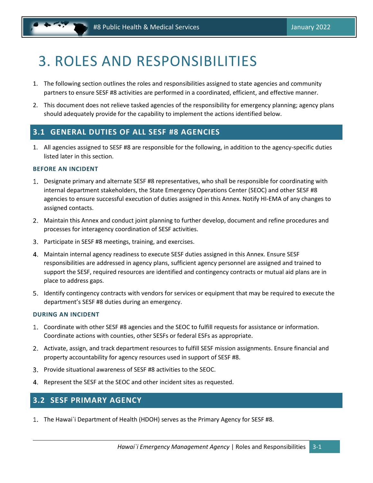## <span id="page-6-0"></span>3. ROLES AND RESPONSIBILITIES

- 1. The following section outlines the roles and responsibilities assigned to state agencies and community partners to ensure SESF #8 activities are performed in a coordinated, efficient, and effective manner.
- 2. This document does not relieve tasked agencies of the responsibility for emergency planning; agency plans should adequately provide for the capability to implement the actions identified below.

### <span id="page-6-1"></span>**3.1 GENERAL DUTIES OF ALL SESF #8 AGENCIES**

1. All agencies assigned to SESF #8 are responsible for the following, in addition to the agency-specific duties listed later in this section.

#### **BEFORE AN INCIDENT**

- Designate primary and alternate SESF #8 representatives, who shall be responsible for coordinating with internal department stakeholders, the State Emergency Operations Center (SEOC) and other SESF #8 agencies to ensure successful execution of duties assigned in this Annex. Notify HI-EMA of any changes to assigned contacts.
- Maintain this Annex and conduct joint planning to further develop, document and refine procedures and processes for interagency coordination of SESF activities.
- Participate in SESF #8 meetings, training, and exercises.
- Maintain internal agency readiness to execute SESF duties assigned in this Annex. Ensure SESF responsibilities are addressed in agency plans, sufficient agency personnel are assigned and trained to support the SESF, required resources are identified and contingency contracts or mutual aid plans are in place to address gaps.
- Identify contingency contracts with vendors for services or equipment that may be required to execute the department's SESF #8 duties during an emergency.

#### **DURING AN INCIDENT**

- Coordinate with other SESF #8 agencies and the SEOC to fulfill requests for assistance or information. Coordinate actions with counties, other SESFs or federal ESFs as appropriate.
- 2. Activate, assign, and track department resources to fulfill SESF mission assignments. Ensure financial and property accountability for agency resources used in support of SESF #8.
- Provide situational awareness of SESF #8 activities to the SEOC.
- 4. Represent the SESF at the SEOC and other incident sites as requested.

### <span id="page-6-2"></span>**3.2 SESF PRIMARY AGENCY**

The Hawai`i Department of Health (HDOH) serves as the Primary Agency for SESF #8.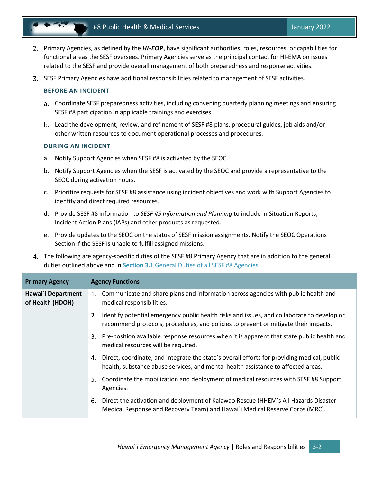

- Primary Agencies, as defined by the *HI-EOP*, have significant authorities, roles, resources, or capabilities for functional areas the SESF oversees. Primary Agencies serve as the principal contact for HI-EMA on issues related to the SESF and provide overall management of both preparedness and response activities.
- SESF Primary Agencies have additional responsibilities related to management of SESF activities.

#### **BEFORE AN INCIDENT**

- Coordinate SESF preparedness activities, including convening quarterly planning meetings and ensuring SESF #8 participation in applicable trainings and exercises.
- Lead the development, review, and refinement of SESF #8 plans, procedural guides, job aids and/or other written resources to document operational processes and procedures.

#### **DURING AN INCIDENT**

- a. Notify Support Agencies when SESF #8 is activated by the SEOC.
- b. Notify Support Agencies when the SESF is activated by the SEOC and provide a representative to the SEOC during activation hours.
- c. Prioritize requests for SESF #8 assistance using incident objectives and work with Support Agencies to identify and direct required resources.
- d. Provide SESF #8 information to *SESF #5 Information and Planning* to include in Situation Reports, Incident Action Plans (IAPs) and other products as requested.
- e. Provide updates to the SEOC on the status of SESF mission assignments. Notify the SEOC Operations Section if the SESF is unable to fulfill assigned missions.
- The following are agency-specific duties of the SESF #8 Primary Agency that are in addition to the general duties outlined above and in **Section 3.1** General Duties of all SESF #8 Agencies.

| <b>Primary Agency</b>                  | <b>Agency Functions</b>                                                                                                                                                                |
|----------------------------------------|----------------------------------------------------------------------------------------------------------------------------------------------------------------------------------------|
| Hawai`i Department<br>of Health (HDOH) | 1. Communicate and share plans and information across agencies with public health and<br>medical responsibilities.                                                                     |
|                                        | Identify potential emergency public health risks and issues, and collaborate to develop or<br>recommend protocols, procedures, and policies to prevent or mitigate their impacts.      |
|                                        | Pre-position available response resources when it is apparent that state public health and<br>3.<br>medical resources will be required.                                                |
|                                        | Direct, coordinate, and integrate the state's overall efforts for providing medical, public<br>4.<br>health, substance abuse services, and mental health assistance to affected areas. |
|                                        | 5. Coordinate the mobilization and deployment of medical resources with SESF #8 Support<br>Agencies.                                                                                   |
|                                        | Direct the activation and deployment of Kalawao Rescue (HHEM's All Hazards Disaster<br>6.<br>Medical Response and Recovery Team) and Hawai`i Medical Reserve Corps (MRC).              |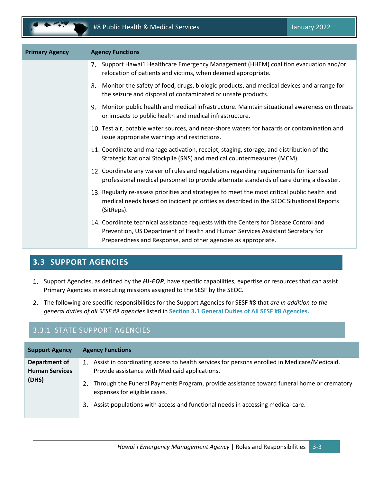| <b>Primary Agency</b> | <b>Agency Functions</b>                                                                                                                                                                                                                  |
|-----------------------|------------------------------------------------------------------------------------------------------------------------------------------------------------------------------------------------------------------------------------------|
|                       | Support Hawai`i Healthcare Emergency Management (HHEM) coalition evacuation and/or<br>7.<br>relocation of patients and victims, when deemed appropriate.                                                                                 |
|                       | Monitor the safety of food, drugs, biologic products, and medical devices and arrange for<br>8.<br>the seizure and disposal of contaminated or unsafe products.                                                                          |
|                       | Monitor public health and medical infrastructure. Maintain situational awareness on threats<br>9.<br>or impacts to public health and medical infrastructure.                                                                             |
|                       | 10. Test air, potable water sources, and near-shore waters for hazards or contamination and<br>issue appropriate warnings and restrictions.                                                                                              |
|                       | 11. Coordinate and manage activation, receipt, staging, storage, and distribution of the<br>Strategic National Stockpile (SNS) and medical countermeasures (MCM).                                                                        |
|                       | 12. Coordinate any waiver of rules and regulations regarding requirements for licensed<br>professional medical personnel to provide alternate standards of care during a disaster.                                                       |
|                       | 13. Regularly re-assess priorities and strategies to meet the most critical public health and<br>medical needs based on incident priorities as described in the SEOC Situational Reports<br>(SitReps).                                   |
|                       | 14. Coordinate technical assistance requests with the Centers for Disease Control and<br>Prevention, US Department of Health and Human Services Assistant Secretary for<br>Preparedness and Response, and other agencies as appropriate. |

## <span id="page-8-0"></span>**3.3 SUPPORT AGENCIES**

- 1. Support Agencies, as defined by the *HI-EOP*, have specific capabilities, expertise or resources that can assist Primary Agencies in executing missions assigned to the SESF by the SEOC.
- The following are specific responsibilities for the Support Agencies for SESF #8 that *are in addition to the general duties of all SESF* #8 *agencies* listed in **Section [3.1](#page-6-1) [General Duties of All SESF #8](#page-6-1) Agencies.**

## 3.3.1 STATE SUPPORT AGENCIES

| <b>Support Agency</b>                           | <b>Agency Functions</b>                                                                                                                                                                                                                                                                                                                                                     |
|-------------------------------------------------|-----------------------------------------------------------------------------------------------------------------------------------------------------------------------------------------------------------------------------------------------------------------------------------------------------------------------------------------------------------------------------|
| Department of<br><b>Human Services</b><br>(DHS) | 1. Assist in coordinating access to health services for persons enrolled in Medicare/Medicaid.<br>Provide assistance with Medicaid applications.<br>Through the Funeral Payments Program, provide assistance toward funeral home or crematory<br>2.<br>expenses for eligible cases.<br>Assist populations with access and functional needs in accessing medical care.<br>3. |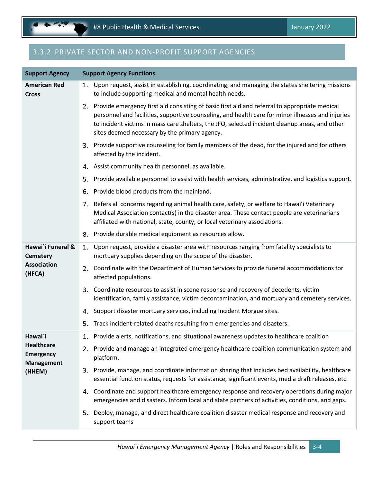## 3.3.2 PRIVATE SECTOR AND NON-PROFIT SUPPORT AGENCIES

| <b>Support Agency</b>                                      | <b>Support Agency Functions</b>                                                                                                                                                                                                                                                                                                                          |
|------------------------------------------------------------|----------------------------------------------------------------------------------------------------------------------------------------------------------------------------------------------------------------------------------------------------------------------------------------------------------------------------------------------------------|
| <b>American Red</b><br><b>Cross</b>                        | 1. Upon request, assist in establishing, coordinating, and managing the states sheltering missions<br>to include supporting medical and mental health needs.                                                                                                                                                                                             |
|                                                            | 2. Provide emergency first aid consisting of basic first aid and referral to appropriate medical<br>personnel and facilities, supportive counseling, and health care for minor illnesses and injuries<br>to incident victims in mass care shelters, the JFO, selected incident cleanup areas, and other<br>sites deemed necessary by the primary agency. |
|                                                            | 3. Provide supportive counseling for family members of the dead, for the injured and for others<br>affected by the incident.                                                                                                                                                                                                                             |
|                                                            | Assist community health personnel, as available.<br>4.                                                                                                                                                                                                                                                                                                   |
|                                                            | Provide available personnel to assist with health services, administrative, and logistics support.<br>5.                                                                                                                                                                                                                                                 |
|                                                            | Provide blood products from the mainland.<br>6.                                                                                                                                                                                                                                                                                                          |
|                                                            | 7. Refers all concerns regarding animal health care, safety, or welfare to Hawai'i Veterinary<br>Medical Association contact(s) in the disaster area. These contact people are veterinarians<br>affiliated with national, state, county, or local veterinary associations.                                                                               |
|                                                            | 8. Provide durable medical equipment as resources allow.                                                                                                                                                                                                                                                                                                 |
| Hawai'i Funeral &<br><b>Cemetery</b>                       | Upon request, provide a disaster area with resources ranging from fatality specialists to<br>1.<br>mortuary supplies depending on the scope of the disaster.                                                                                                                                                                                             |
| <b>Association</b><br>(HFCA)                               | 2. Coordinate with the Department of Human Services to provide funeral accommodations for<br>affected populations.                                                                                                                                                                                                                                       |
|                                                            | 3.<br>Coordinate resources to assist in scene response and recovery of decedents, victim<br>identification, family assistance, victim decontamination, and mortuary and cemetery services.                                                                                                                                                               |
|                                                            | Support disaster mortuary services, including Incident Morgue sites.<br>4.                                                                                                                                                                                                                                                                               |
|                                                            | Track incident-related deaths resulting from emergencies and disasters.<br>5.                                                                                                                                                                                                                                                                            |
| Hawai`i                                                    | 1. Provide alerts, notifications, and situational awareness updates to healthcare coalition                                                                                                                                                                                                                                                              |
| <b>Healthcare</b><br><b>Emergency</b><br><b>Management</b> | 2. Provide and manage an integrated emergency healthcare coalition communication system and<br>platform.                                                                                                                                                                                                                                                 |
| (HHEM)                                                     | 3. Provide, manage, and coordinate information sharing that includes bed availability, healthcare<br>essential function status, requests for assistance, significant events, media draft releases, etc.                                                                                                                                                  |
|                                                            | 4. Coordinate and support healthcare emergency response and recovery operations during major<br>emergencies and disasters. Inform local and state partners of activities, conditions, and gaps.                                                                                                                                                          |
|                                                            | Deploy, manage, and direct healthcare coalition disaster medical response and recovery and<br>5.<br>support teams                                                                                                                                                                                                                                        |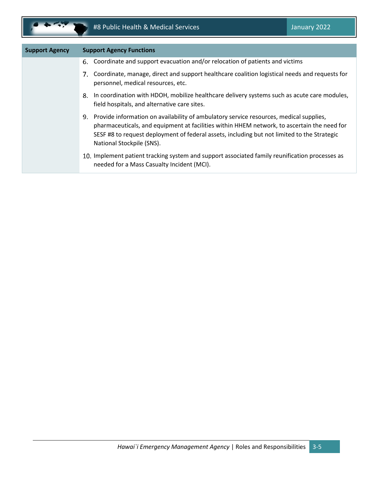œ

| <b>Support Agency</b> | <b>Support Agency Functions</b>                                                                                                                                                                                                                                                                                      |
|-----------------------|----------------------------------------------------------------------------------------------------------------------------------------------------------------------------------------------------------------------------------------------------------------------------------------------------------------------|
|                       | 6. Coordinate and support evacuation and/or relocation of patients and victims                                                                                                                                                                                                                                       |
|                       | 7. Coordinate, manage, direct and support healthcare coalition logistical needs and requests for<br>personnel, medical resources, etc.                                                                                                                                                                               |
|                       | 8. In coordination with HDOH, mobilize healthcare delivery systems such as acute care modules,<br>field hospitals, and alternative care sites.                                                                                                                                                                       |
|                       | 9. Provide information on availability of ambulatory service resources, medical supplies,<br>pharmaceuticals, and equipment at facilities within HHEM network, to ascertain the need for<br>SESF #8 to request deployment of federal assets, including but not limited to the Strategic<br>National Stockpile (SNS). |
|                       | 10. Implement patient tracking system and support associated family reunification processes as<br>needed for a Mass Casualty Incident (MCI).                                                                                                                                                                         |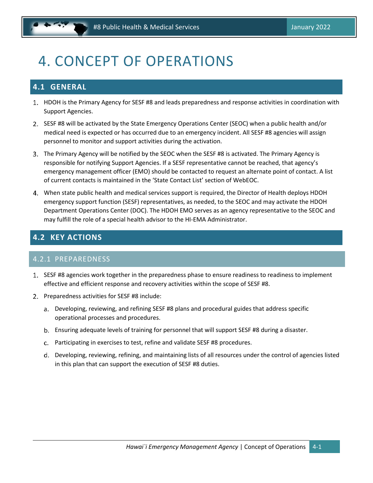## <span id="page-11-0"></span>4. CONCEPT OF OPERATIONS

## <span id="page-11-1"></span>**4.1 GENERAL**

- HDOH is the Primary Agency for SESF #8 and leads preparedness and response activities in coordination with Support Agencies.
- 2. SESF #8 will be activated by the State Emergency Operations Center (SEOC) when a public health and/or medical need is expected or has occurred due to an emergency incident. All SESF #8 agencies will assign personnel to monitor and support activities during the activation.
- The Primary Agency will be notified by the SEOC when the SESF #8 is activated. The Primary Agency is responsible for notifying Support Agencies. If a SESF representative cannot be reached, that agency's emergency management officer (EMO) should be contacted to request an alternate point of contact. A list of current contacts is maintained in the 'State Contact List' section of WebEOC.
- When state public health and medical services support is required, the Director of Health deploys HDOH emergency support function (SESF) representatives, as needed, to the SEOC and may activate the HDOH Department Operations Center (DOC). The HDOH EMO serves as an agency representative to the SEOC and may fulfill the role of a special health advisor to the HI‐EMA Administrator.

## <span id="page-11-2"></span>**4.2 KEY ACTIONS**

### 4.2.1 PREPAREDNESS

- 1. SESF #8 agencies work together in the preparedness phase to ensure readiness to readiness to implement effective and efficient response and recovery activities within the scope of SESF #8.
- 2. Preparedness activities for SESF #8 include:
	- Developing, reviewing, and refining SESF #8 plans and procedural guides that address specific operational processes and procedures.
	- Ensuring adequate levels of training for personnel that will support SESF #8 during a disaster.
	- Participating in exercises to test, refine and validate SESF #8 procedures.
	- Developing, reviewing, refining, and maintaining lists of all resources under the control of agencies listed in this plan that can support the execution of SESF #8 duties.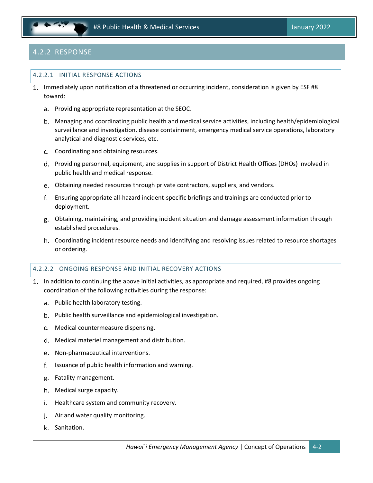

## 4.2.2 RESPONSE

#### 4.2.2.1 INITIAL RESPONSE ACTIONS

- 1. Immediately upon notification of a threatened or occurring incident, consideration is given by ESF #8 toward:
	- a. Providing appropriate representation at the SEOC.
	- Managing and coordinating public health and medical service activities, including health/epidemiological surveillance and investigation, disease containment, emergency medical service operations, laboratory analytical and diagnostic services, etc.
	- c. Coordinating and obtaining resources.
	- d. Providing personnel, equipment, and supplies in support of District Health Offices (DHOs) involved in public health and medical response.
	- Obtaining needed resources through private contractors, suppliers, and vendors.
	- Ensuring appropriate all‐hazard incident‐specific briefings and trainings are conducted prior to deployment.
	- Obtaining, maintaining, and providing incident situation and damage assessment information through established procedures.
	- Coordinating incident resource needs and identifying and resolving issues related to resource shortages or ordering.

#### 4.2.2.2 ONGOING RESPONSE AND INITIAL RECOVERY ACTIONS

- In addition to continuing the above initial activities, as appropriate and required, #8 provides ongoing coordination of the following activities during the response:
	- a. Public health laboratory testing.
	- b. Public health surveillance and epidemiological investigation.
	- Medical countermeasure dispensing.
	- Medical materiel management and distribution.
	- e. Non-pharmaceutical interventions.
	- f. Issuance of public health information and warning.
	- Fatality management.
	- h. Medical surge capacity.
	- i. Healthcare system and community recovery.
	- Air and water quality monitoring. j.
	- k. Sanitation.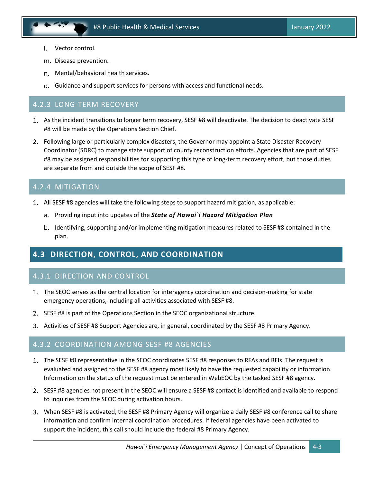- Vector control.
- m. Disease prevention.
- n. Mental/behavioral health services.
- o. Guidance and support services for persons with access and functional needs.

#### 4.2.3 LONG-TERM RECOVERY

- As the incident transitions to longer term recovery, SESF #8 will deactivate. The decision to deactivate SESF #8 will be made by the Operations Section Chief.
- Following large or particularly complex disasters, the Governor may appoint a State Disaster Recovery Coordinator (SDRC) to manage state support of county reconstruction efforts. Agencies that are part of SESF #8 may be assigned responsibilities for supporting this type of long-term recovery effort, but those duties are separate from and outside the scope of SESF #8.

### 4.2.4 MITIGATION

- All SESF #8 agencies will take the following steps to support hazard mitigation, as applicable:
	- Providing input into updates of the *State of Hawai`i Hazard Mitigation Plan*
	- b. Identifying, supporting and/or implementing mitigation measures related to SESF #8 contained in the plan.

## <span id="page-13-0"></span>**4.3 DIRECTION, CONTROL, AND COORDINATION**

### 4.3.1 DIRECTION AND CONTROL

- 1. The SEOC serves as the central location for interagency coordination and decision-making for state emergency operations, including all activities associated with SESF #8.
- 2. SESF #8 is part of the Operations Section in the SEOC organizational structure.
- 3. Activities of SESF #8 Support Agencies are, in general, coordinated by the SESF #8 Primary Agency.

#### 4.3.2 COORDINATION AMONG SESF #8 AGENCIES

- 1. The SESF #8 representative in the SEOC coordinates SESF #8 responses to RFAs and RFIs. The request is evaluated and assigned to the SESF #8 agency most likely to have the requested capability or information. Information on the status of the request must be entered in WebEOC by the tasked SESF #8 agency.
- 2. SESF #8 agencies not present in the SEOC will ensure a SESF #8 contact is identified and available to respond to inquiries from the SEOC during activation hours.
- When SESF #8 is activated, the SESF #8 Primary Agency will organize a daily SESF #8 conference call to share information and confirm internal coordination procedures. If federal agencies have been activated to support the incident, this call should include the federal #8 Primary Agency.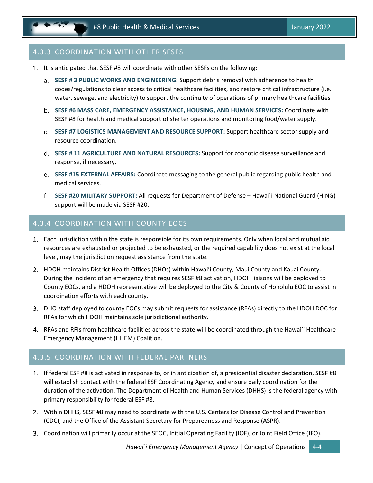### 4.3.3 COORDINATION WITH OTHER SESFS

- 1. It is anticipated that SESF #8 will coordinate with other SESFs on the following:
	- **SESF # 3 PUBLIC WORKS AND ENGINEERING:** Support debris removal with adherence to health codes/regulations to clear access to critical healthcare facilities, and restore critical infrastructure (i.e. water, sewage, and electricity) to support the continuity of operations of primary healthcare facilities
	- **SESF #6 MASS CARE, EMERGENCY ASSISTANCE, HOUSING, AND HUMAN SERVICES:** Coordinate with SESF #8 for health and medical support of shelter operations and monitoring food/water supply.
	- **SESF #7 LOGISTICS MANAGEMENT AND RESOURCE SUPPORT:** Support healthcare sector supply and resource coordination.
	- **SESF # 11 AGRICULTURE AND NATURAL RESOURCES:** Support for zoonotic disease surveillance and response, if necessary.
	- **SESF #15 EXTERNAL AFFAIRS:** Coordinate messaging to the general public regarding public health and medical services.
	- **SESF #20 MILITARY SUPPORT:** All requests for Department of Defense Hawai`i National Guard (HING) support will be made via SESF #20.

#### 4.3.4 COORDINATION WITH COUNTY EOCS

- Each jurisdiction within the state is responsible for its own requirements. Only when local and mutual aid resources are exhausted or projected to be exhausted, or the required capability does not exist at the local level, may the jurisdiction request assistance from the state.
- HDOH maintains District Health Offices (DHOs) within Hawai'i County, Maui County and Kauai County. During the incident of an emergency that requires SESF #8 activation, HDOH liaisons will be deployed to County EOCs, and a HDOH representative will be deployed to the City & County of Honolulu EOC to assist in coordination efforts with each county.
- DHO staff deployed to county EOCs may submit requests for assistance (RFAs) directly to the HDOH DOC for RFAs for which HDOH maintains sole jurisdictional authority.
- RFAs and RFIs from healthcare facilities across the state will be coordinated through the Hawai'i Healthcare Emergency Management (HHEM) Coalition.

### 4.3.5 COORDINATION WITH FEDERAL PARTNERS

- If federal ESF #8 is activated in response to, or in anticipation of, a presidential disaster declaration, SESF #8 will establish contact with the federal ESF Coordinating Agency and ensure daily coordination for the duration of the activation. The Department of Health and Human Services (DHHS) is the federal agency with primary responsibility for federal ESF #8.
- Within DHHS, SESF #8 may need to coordinate with the U.S. Centers for Disease Control and Prevention (CDC), and the Office of the Assistant Secretary for Preparedness and Response (ASPR).
- Coordination will primarily occur at the SEOC, Initial Operating Facility (IOF), or Joint Field Office (JFO).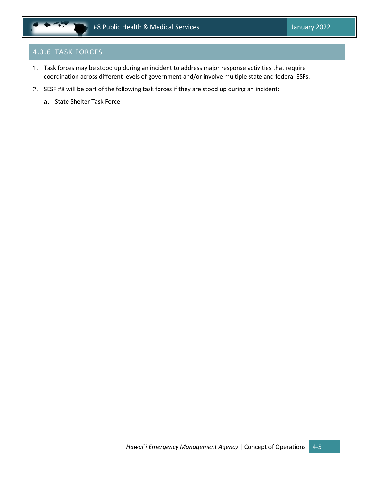## 4.3.6 TASK FORCES

- Task forces may be stood up during an incident to address major response activities that require coordination across different levels of government and/or involve multiple state and federal ESFs.
- 2. SESF #8 will be part of the following task forces if they are stood up during an incident:
	- a. State Shelter Task Force